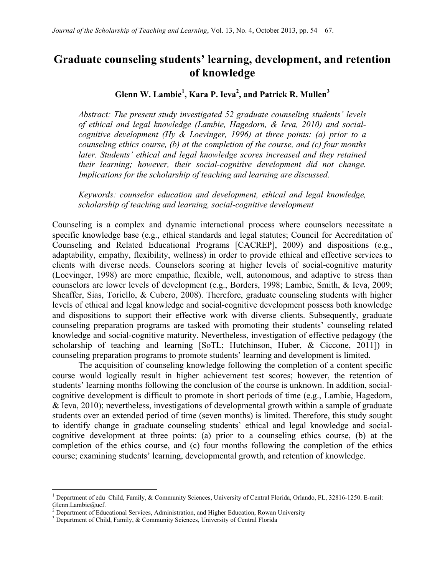# **Graduate counseling students' learning, development, and retention of knowledge**

## **Glenn W. Lambie<sup>1</sup> , Kara P. Ieva2 , and Patrick R. Mullen<sup>3</sup>**

*Abstract: The present study investigated 52 graduate counseling students' levels of ethical and legal knowledge (Lambie, Hagedorn, & Ieva, 2010) and socialcognitive development (Hy & Loevinger, 1996) at three points: (a) prior to a counseling ethics course, (b) at the completion of the course, and (c) four months later. Students' ethical and legal knowledge scores increased and they retained their learning; however, their social-cognitive development did not change. Implications for the scholarship of teaching and learning are discussed.* 

*Keywords: counselor education and development, ethical and legal knowledge, scholarship of teaching and learning, social-cognitive development* 

Counseling is a complex and dynamic interactional process where counselors necessitate a specific knowledge base (e.g., ethical standards and legal statutes; Council for Accreditation of Counseling and Related Educational Programs [CACREP], 2009) and dispositions (e.g., adaptability, empathy, flexibility, wellness) in order to provide ethical and effective services to clients with diverse needs. Counselors scoring at higher levels of social-cognitive maturity (Loevinger, 1998) are more empathic, flexible, well, autonomous, and adaptive to stress than counselors are lower levels of development (e.g., Borders, 1998; Lambie, Smith, & Ieva, 2009; Sheaffer, Sias, Toriello, & Cubero, 2008). Therefore, graduate counseling students with higher levels of ethical and legal knowledge and social-cognitive development possess both knowledge and dispositions to support their effective work with diverse clients. Subsequently, graduate counseling preparation programs are tasked with promoting their students' counseling related knowledge and social-cognitive maturity. Nevertheless, investigation of effective pedagogy (the scholarship of teaching and learning [SoTL; Hutchinson, Huber, & Ciccone, 2011]) in counseling preparation programs to promote students' learning and development is limited.

The acquisition of counseling knowledge following the completion of a content specific course would logically result in higher achievement test scores; however, the retention of students' learning months following the conclusion of the course is unknown. In addition, socialcognitive development is difficult to promote in short periods of time (e.g., Lambie, Hagedorn, & Ieva, 2010); nevertheless, investigations of developmental growth within a sample of graduate students over an extended period of time (seven months) is limited. Therefore, this study sought to identify change in graduate counseling students' ethical and legal knowledge and socialcognitive development at three points: (a) prior to a counseling ethics course, (b) at the completion of the ethics course, and (c) four months following the completion of the ethics course; examining students' learning, developmental growth, and retention of knowledge.

<sup>&</sup>lt;sup>1</sup> Department of edu Child, Family, & Community Sciences, University of Central Florida, Orlando, FL, 32816-1250. E-mail: Glenn.Lambie@ucf.

 $2$  Department of Educational Services, Administration, and Higher Education, Rowan University

<sup>&</sup>lt;sup>3</sup> Department of Child, Family, & Community Sciences, University of Central Florida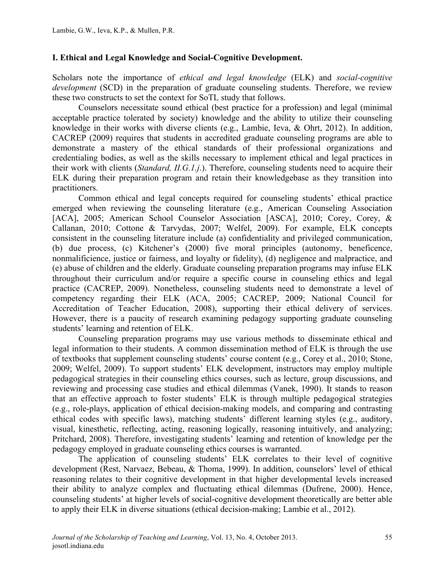### **I. Ethical and Legal Knowledge and Social-Cognitive Development.**

Scholars note the importance of *ethical and legal knowledge* (ELK) and *social-cognitive development* (SCD) in the preparation of graduate counseling students. Therefore, we review these two constructs to set the context for SoTL study that follows.

Counselors necessitate sound ethical (best practice for a profession) and legal (minimal acceptable practice tolerated by society) knowledge and the ability to utilize their counseling knowledge in their works with diverse clients (e.g., Lambie, Ieva, & Ohrt, 2012). In addition, CACREP (2009) requires that students in accredited graduate counseling programs are able to demonstrate a mastery of the ethical standards of their professional organizations and credentialing bodies, as well as the skills necessary to implement ethical and legal practices in their work with clients (*Standard, II.G.1.j*.). Therefore, counseling students need to acquire their ELK during their preparation program and retain their knowledgebase as they transition into practitioners.

Common ethical and legal concepts required for counseling students' ethical practice emerged when reviewing the counseling literature (e.g., American Counseling Association [ACA], 2005; American School Counselor Association [ASCA], 2010; Corey, Corey, & Callanan, 2010; Cottone & Tarvydas, 2007; Welfel, 2009). For example, ELK concepts consistent in the counseling literature include (a) confidentiality and privileged communication, (b) due process, (c) Kitchener's (2000) five moral principles (autonomy, beneficence, nonmalificience, justice or fairness, and loyalty or fidelity), (d) negligence and malpractice, and (e) abuse of children and the elderly. Graduate counseling preparation programs may infuse ELK throughout their curriculum and/or require a specific course in counseling ethics and legal practice (CACREP, 2009). Nonetheless, counseling students need to demonstrate a level of competency regarding their ELK (ACA, 2005; CACREP, 2009; National Council for Accreditation of Teacher Education, 2008), supporting their ethical delivery of services. However, there is a paucity of research examining pedagogy supporting graduate counseling students' learning and retention of ELK.

Counseling preparation programs may use various methods to disseminate ethical and legal information to their students. A common dissemination method of ELK is through the use of textbooks that supplement counseling students' course content (e.g., Corey et al., 2010; Stone, 2009; Welfel, 2009). To support students' ELK development, instructors may employ multiple pedagogical strategies in their counseling ethics courses, such as lecture, group discussions, and reviewing and processing case studies and ethical dilemmas (Vanek, 1990). It stands to reason that an effective approach to foster students' ELK is through multiple pedagogical strategies (e.g., role-plays, application of ethical decision-making models, and comparing and contrasting ethical codes with specific laws), matching students' different learning styles (e.g., auditory, visual, kinesthetic, reflecting, acting, reasoning logically, reasoning intuitively, and analyzing; Pritchard, 2008). Therefore, investigating students' learning and retention of knowledge per the pedagogy employed in graduate counseling ethics courses is warranted.

The application of counseling students' ELK correlates to their level of cognitive development (Rest, Narvaez, Bebeau, & Thoma, 1999). In addition, counselors' level of ethical reasoning relates to their cognitive development in that higher developmental levels increased their ability to analyze complex and fluctuating ethical dilemmas (Dufrene, 2000). Hence, counseling students' at higher levels of social-cognitive development theoretically are better able to apply their ELK in diverse situations (ethical decision-making; Lambie et al., 2012).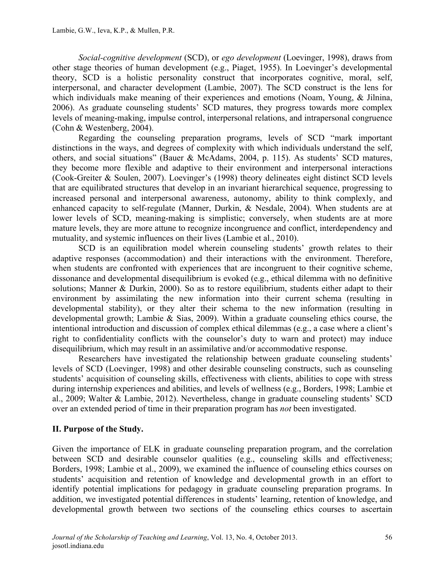*Social-cognitive development* (SCD), or *ego development* (Loevinger, 1998), draws from other stage theories of human development (e.g., Piaget, 1955). In Loevinger's developmental theory, SCD is a holistic personality construct that incorporates cognitive, moral, self, interpersonal, and character development (Lambie, 2007). The SCD construct is the lens for which individuals make meaning of their experiences and emotions (Noam, Young, & Jilnina, 2006). As graduate counseling students' SCD matures, they progress towards more complex levels of meaning-making, impulse control, interpersonal relations, and intrapersonal congruence (Cohn & Westenberg, 2004).

Regarding the counseling preparation programs, levels of SCD "mark important distinctions in the ways, and degrees of complexity with which individuals understand the self, others, and social situations" (Bauer & McAdams, 2004, p. 115). As students' SCD matures, they become more flexible and adaptive to their environment and interpersonal interactions (Cook-Greiter & Soulen, 2007). Loevinger's (1998) theory delineates eight distinct SCD levels that are equilibrated structures that develop in an invariant hierarchical sequence, progressing to increased personal and interpersonal awareness, autonomy, ability to think complexly, and enhanced capacity to self-regulate (Manner, Durkin, & Nesdale, 2004). When students are at lower levels of SCD, meaning-making is simplistic; conversely, when students are at more mature levels, they are more attune to recognize incongruence and conflict, interdependency and mutuality, and systemic influences on their lives (Lambie et al., 2010).

SCD is an equilibration model wherein counseling students' growth relates to their adaptive responses (accommodation) and their interactions with the environment. Therefore, when students are confronted with experiences that are incongruent to their cognitive scheme, dissonance and developmental disequilibrium is evoked (e.g., ethical dilemma with no definitive solutions; Manner & Durkin, 2000). So as to restore equilibrium, students either adapt to their environment by assimilating the new information into their current schema (resulting in developmental stability), or they alter their schema to the new information (resulting in developmental growth; Lambie & Sias, 2009). Within a graduate counseling ethics course, the intentional introduction and discussion of complex ethical dilemmas (e.g., a case where a client's right to confidentiality conflicts with the counselor's duty to warn and protect) may induce disequilibrium, which may result in an assimilative and/or accommodative response.

Researchers have investigated the relationship between graduate counseling students' levels of SCD (Loevinger, 1998) and other desirable counseling constructs, such as counseling students' acquisition of counseling skills, effectiveness with clients, abilities to cope with stress during internship experiences and abilities, and levels of wellness (e.g., Borders, 1998; Lambie et al., 2009; Walter & Lambie, 2012). Nevertheless, change in graduate counseling students' SCD over an extended period of time in their preparation program has *not* been investigated.

# **II. Purpose of the Study.**

Given the importance of ELK in graduate counseling preparation program, and the correlation between SCD and desirable counselor qualities (e.g., counseling skills and effectiveness; Borders, 1998; Lambie et al., 2009), we examined the influence of counseling ethics courses on students' acquisition and retention of knowledge and developmental growth in an effort to identify potential implications for pedagogy in graduate counseling preparation programs. In addition, we investigated potential differences in students' learning, retention of knowledge, and developmental growth between two sections of the counseling ethics courses to ascertain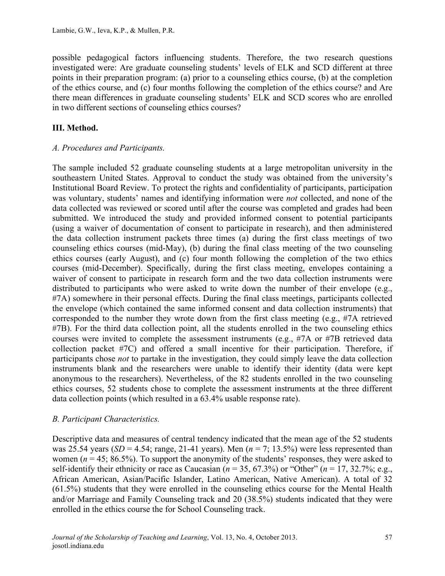possible pedagogical factors influencing students. Therefore, the two research questions investigated were: Are graduate counseling students' levels of ELK and SCD different at three points in their preparation program: (a) prior to a counseling ethics course, (b) at the completion of the ethics course, and (c) four months following the completion of the ethics course? and Are there mean differences in graduate counseling students' ELK and SCD scores who are enrolled in two different sections of counseling ethics courses?

# **III. Method.**

## *A. Procedures and Participants.*

The sample included 52 graduate counseling students at a large metropolitan university in the southeastern United States. Approval to conduct the study was obtained from the university's Institutional Board Review. To protect the rights and confidentiality of participants, participation was voluntary, students' names and identifying information were *not* collected, and none of the data collected was reviewed or scored until after the course was completed and grades had been submitted. We introduced the study and provided informed consent to potential participants (using a waiver of documentation of consent to participate in research), and then administered the data collection instrument packets three times (a) during the first class meetings of two counseling ethics courses (mid-May), (b) during the final class meeting of the two counseling ethics courses (early August), and (c) four month following the completion of the two ethics courses (mid-December). Specifically, during the first class meeting, envelopes containing a waiver of consent to participate in research form and the two data collection instruments were distributed to participants who were asked to write down the number of their envelope (e.g., #7A) somewhere in their personal effects. During the final class meetings, participants collected the envelope (which contained the same informed consent and data collection instruments) that corresponded to the number they wrote down from the first class meeting (e.g., #7A retrieved #7B). For the third data collection point, all the students enrolled in the two counseling ethics courses were invited to complete the assessment instruments (e.g., #7A or #7B retrieved data collection packet #7C) and offered a small incentive for their participation. Therefore, if participants chose *not* to partake in the investigation, they could simply leave the data collection instruments blank and the researchers were unable to identify their identity (data were kept anonymous to the researchers). Nevertheless, of the 82 students enrolled in the two counseling ethics courses, 52 students chose to complete the assessment instruments at the three different data collection points (which resulted in a 63.4% usable response rate).

### *B. Participant Characteristics.*

Descriptive data and measures of central tendency indicated that the mean age of the 52 students was 25.54 years (*SD* = 4.54; range, 21-41 years). Men ( $n = 7$ ; 13.5%) were less represented than women ( $n = 45$ ; 86.5%). To support the anonymity of the students' responses, they were asked to self-identify their ethnicity or race as Caucasian ( $n = 35, 67.3\%$ ) or "Other" ( $n = 17, 32.7\%$ ; e.g., African American, Asian/Pacific Islander, Latino American, Native American). A total of 32 (61.5%) students that they were enrolled in the counseling ethics course for the Mental Health and/or Marriage and Family Counseling track and 20 (38.5%) students indicated that they were enrolled in the ethics course the for School Counseling track.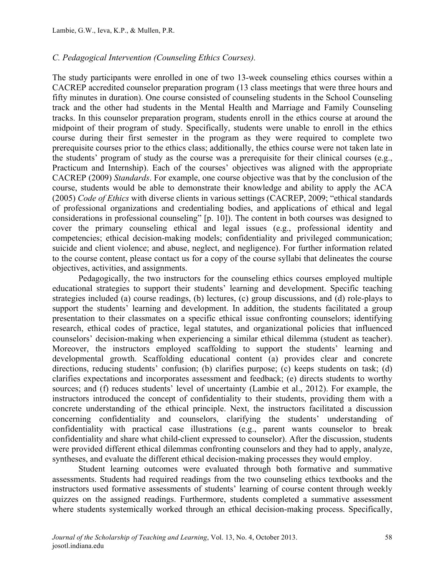#### *C. Pedagogical Intervention (Counseling Ethics Courses).*

The study participants were enrolled in one of two 13-week counseling ethics courses within a CACREP accredited counselor preparation program (13 class meetings that were three hours and fifty minutes in duration). One course consisted of counseling students in the School Counseling track and the other had students in the Mental Health and Marriage and Family Counseling tracks. In this counselor preparation program, students enroll in the ethics course at around the midpoint of their program of study. Specifically, students were unable to enroll in the ethics course during their first semester in the program as they were required to complete two prerequisite courses prior to the ethics class; additionally, the ethics course were not taken late in the students' program of study as the course was a prerequisite for their clinical courses (e.g., Practicum and Internship). Each of the courses' objectives was aligned with the appropriate CACREP (2009) *Standards*. For example, one course objective was that by the conclusion of the course, students would be able to demonstrate their knowledge and ability to apply the ACA (2005) *Code of Ethics* with diverse clients in various settings (CACREP, 2009; "ethical standards of professional organizations and credentialing bodies, and applications of ethical and legal considerations in professional counseling" [p. 10]). The content in both courses was designed to cover the primary counseling ethical and legal issues (e.g., professional identity and competencies; ethical decision-making models; confidentiality and privileged communication; suicide and client violence; and abuse, neglect, and negligence). For further information related to the course content, please contact us for a copy of the course syllabi that delineates the course objectives, activities, and assignments.

Pedagogically, the two instructors for the counseling ethics courses employed multiple educational strategies to support their students' learning and development. Specific teaching strategies included (a) course readings, (b) lectures, (c) group discussions, and (d) role-plays to support the students' learning and development. In addition, the students facilitated a group presentation to their classmates on a specific ethical issue confronting counselors; identifying research, ethical codes of practice, legal statutes, and organizational policies that influenced counselors' decision-making when experiencing a similar ethical dilemma (student as teacher). Moreover, the instructors employed scaffolding to support the students' learning and developmental growth. Scaffolding educational content (a) provides clear and concrete directions, reducing students' confusion; (b) clarifies purpose; (c) keeps students on task; (d) clarifies expectations and incorporates assessment and feedback; (e) directs students to worthy sources; and (f) reduces students' level of uncertainty (Lambie et al., 2012). For example, the instructors introduced the concept of confidentiality to their students, providing them with a concrete understanding of the ethical principle. Next, the instructors facilitated a discussion concerning confidentiality and counselors, clarifying the students' understanding of confidentiality with practical case illustrations (e.g., parent wants counselor to break confidentiality and share what child-client expressed to counselor). After the discussion, students were provided different ethical dilemmas confronting counselors and they had to apply, analyze, syntheses, and evaluate the different ethical decision-making processes they would employ.

Student learning outcomes were evaluated through both formative and summative assessments. Students had required readings from the two counseling ethics textbooks and the instructors used formative assessments of students' learning of course content through weekly quizzes on the assigned readings. Furthermore, students completed a summative assessment where students systemically worked through an ethical decision-making process. Specifically,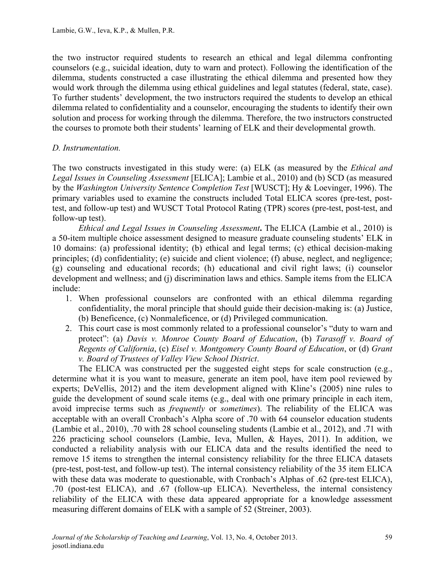the two instructor required students to research an ethical and legal dilemma confronting counselors (e.g., suicidal ideation, duty to warn and protect). Following the identification of the dilemma, students constructed a case illustrating the ethical dilemma and presented how they would work through the dilemma using ethical guidelines and legal statutes (federal, state, case). To further students' development, the two instructors required the students to develop an ethical dilemma related to confidentiality and a counselor, encouraging the students to identify their own solution and process for working through the dilemma. Therefore, the two instructors constructed the courses to promote both their students' learning of ELK and their developmental growth.

### *D. Instrumentation.*

The two constructs investigated in this study were: (a) ELK (as measured by the *Ethical and Legal Issues in Counseling Assessment* [ELICA]; Lambie et al., 2010) and (b) SCD (as measured by the *Washington University Sentence Completion Test* [WUSCT]; Hy & Loevinger, 1996). The primary variables used to examine the constructs included Total ELICA scores (pre-test, posttest, and follow-up test) and WUSCT Total Protocol Rating (TPR) scores (pre-test, post-test, and follow-up test).

*Ethical and Legal Issues in Counseling Assessment***.** The ELICA (Lambie et al., 2010) is a 50-item multiple choice assessment designed to measure graduate counseling students' ELK in 10 domains: (a) professional identity; (b) ethical and legal terms; (c) ethical decision-making principles; (d) confidentiality; (e) suicide and client violence; (f) abuse, neglect, and negligence; (g) counseling and educational records; (h) educational and civil right laws; (i) counselor development and wellness; and (j) discrimination laws and ethics. Sample items from the ELICA include:

- 1. When professional counselors are confronted with an ethical dilemma regarding confidentiality, the moral principle that should guide their decision-making is: (a) Justice, (b) Beneficence, (c) Nonmaleficence, or (d) Privileged communication.
- 2. This court case is most commonly related to a professional counselor's "duty to warn and protect": (a) *Davis v. Monroe County Board of Education*, (b) *Tarasoff v. Board of Regents of California*, (c) *Eisel v. Montgomery County Board of Education*, or (d) *Grant v. Board of Trustees of Valley View School District*.

The ELICA was constructed per the suggested eight steps for scale construction (e.g., determine what it is you want to measure, generate an item pool, have item pool reviewed by experts; DeVellis, 2012) and the item development aligned with Kline's (2005) nine rules to guide the development of sound scale items (e.g., deal with one primary principle in each item, avoid imprecise terms such as *frequently* or *sometimes*). The reliability of the ELICA was acceptable with an overall Cronbach's Alpha score of .70 with 64 counselor education students (Lambie et al., 2010), .70 with 28 school counseling students (Lambie et al., 2012), and .71 with 226 practicing school counselors (Lambie, Ieva, Mullen, & Hayes, 2011). In addition, we conducted a reliability analysis with our ELICA data and the results identified the need to remove 15 items to strengthen the internal consistency reliability for the three ELICA datasets (pre-test, post-test, and follow-up test). The internal consistency reliability of the 35 item ELICA with these data was moderate to questionable, with Cronbach's Alphas of .62 (pre-test ELICA), .70 (post-test ELICA), and .67 (follow-up ELICA). Nevertheless, the internal consistency reliability of the ELICA with these data appeared appropriate for a knowledge assessment measuring different domains of ELK with a sample of 52 (Streiner, 2003).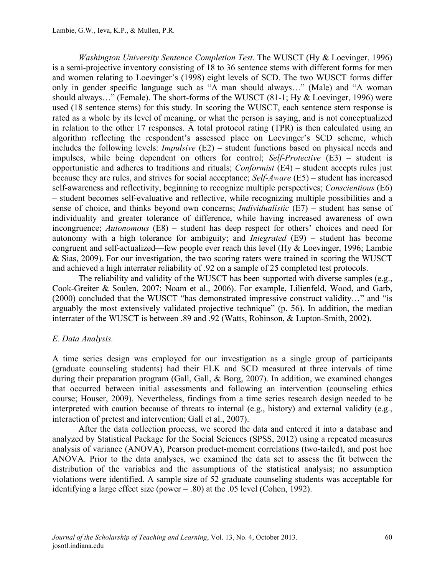*Washington University Sentence Completion Test*. The WUSCT (Hy & Loevinger, 1996) is a semi-projective inventory consisting of 18 to 36 sentence stems with different forms for men and women relating to Loevinger's (1998) eight levels of SCD. The two WUSCT forms differ only in gender specific language such as "A man should always…" (Male) and "A woman should always…" (Female). The short-forms of the WUSCT (81-1; Hy & Loevinger, 1996) were used (18 sentence stems) for this study. In scoring the WUSCT, each sentence stem response is rated as a whole by its level of meaning, or what the person is saying, and is not conceptualized in relation to the other 17 responses. A total protocol rating (TPR) is then calculated using an algorithm reflecting the respondent's assessed place on Loevinger's SCD scheme, which includes the following levels: *Impulsive* (E2) – student functions based on physical needs and impulses, while being dependent on others for control; *Self-Protective* (E3) – student is opportunistic and adheres to traditions and rituals; *Conformist* (E4) – student accepts rules just because they are rules, and strives for social acceptance; *Self-Aware* (E5) – student has increased self-awareness and reflectivity, beginning to recognize multiple perspectives; *Conscientious* (E6) – student becomes self-evaluative and reflective, while recognizing multiple possibilities and a sense of choice, and thinks beyond own concerns; *Individualistic* (E7) – student has sense of individuality and greater tolerance of difference, while having increased awareness of own incongruence; *Autonomous* (E8) – student has deep respect for others' choices and need for autonomy with a high tolerance for ambiguity; and *Integrated* (E9) – student has become congruent and self-actualized—few people ever reach this level (Hy & Loevinger, 1996; Lambie & Sias, 2009). For our investigation, the two scoring raters were trained in scoring the WUSCT and achieved a high interrater reliability of .92 on a sample of 25 completed test protocols.

The reliability and validity of the WUSCT has been supported with diverse samples (e.g., Cook-Greiter & Soulen, 2007; Noam et al., 2006). For example, Lilienfeld, Wood, and Garb, (2000) concluded that the WUSCT "has demonstrated impressive construct validity…" and "is arguably the most extensively validated projective technique" (p. 56). In addition, the median interrater of the WUSCT is between .89 and .92 (Watts, Robinson, & Lupton-Smith, 2002).

### *E. Data Analysis.*

A time series design was employed for our investigation as a single group of participants (graduate counseling students) had their ELK and SCD measured at three intervals of time during their preparation program (Gall, Gall, & Borg, 2007). In addition, we examined changes that occurred between initial assessments and following an intervention (counseling ethics course; Houser, 2009). Nevertheless, findings from a time series research design needed to be interpreted with caution because of threats to internal (e.g., history) and external validity (e.g., interaction of pretest and intervention; Gall et al., 2007).

After the data collection process, we scored the data and entered it into a database and analyzed by Statistical Package for the Social Sciences (SPSS, 2012) using a repeated measures analysis of variance (ANOVA), Pearson product-moment correlations (two-tailed), and post hoc ANOVA. Prior to the data analyses, we examined the data set to assess the fit between the distribution of the variables and the assumptions of the statistical analysis; no assumption violations were identified. A sample size of 52 graduate counseling students was acceptable for identifying a large effect size (power = .80) at the .05 level (Cohen, 1992).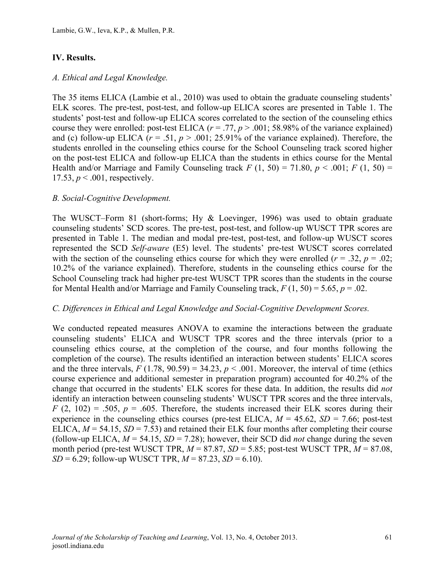# **IV. Results.**

### *A. Ethical and Legal Knowledge.*

The 35 items ELICA (Lambie et al., 2010) was used to obtain the graduate counseling students' ELK scores. The pre-test, post-test, and follow-up ELICA scores are presented in Table 1. The students' post-test and follow-up ELICA scores correlated to the section of the counseling ethics course they were enrolled: post-test ELICA  $(r = .77, p > .001; 58.98\%$  of the variance explained) and (c) follow-up ELICA ( $r = .51$ ,  $p > .001$ ; 25.91% of the variance explained). Therefore, the students enrolled in the counseling ethics course for the School Counseling track scored higher on the post-test ELICA and follow-up ELICA than the students in ethics course for the Mental Health and/or Marriage and Family Counseling track  $F(1, 50) = 71.80$ ,  $p < .001$ ;  $F(1, 50) =$ 17.53,  $p < .001$ , respectively.

### *B. Social-Cognitive Development.*

The WUSCT–Form 81 (short-forms; Hy & Loevinger, 1996) was used to obtain graduate counseling students' SCD scores. The pre-test, post-test, and follow-up WUSCT TPR scores are presented in Table 1. The median and modal pre-test, post-test, and follow-up WUSCT scores represented the SCD *Self-aware* (E5) level. The students' pre-test WUSCT scores correlated with the section of the counseling ethics course for which they were enrolled ( $r = .32$ ,  $p = .02$ ; 10.2% of the variance explained). Therefore, students in the counseling ethics course for the School Counseling track had higher pre-test WUSCT TPR scores than the students in the course for Mental Health and/or Marriage and Family Counseling track,  $F(1, 50) = 5.65$ ,  $p = .02$ .

#### *C. Differences in Ethical and Legal Knowledge and Social-Cognitive Development Scores.*

We conducted repeated measures ANOVA to examine the interactions between the graduate counseling students' ELICA and WUSCT TPR scores and the three intervals (prior to a counseling ethics course, at the completion of the course, and four months following the completion of the course). The results identified an interaction between students' ELICA scores and the three intervals,  $F(1.78, 90.59) = 34.23$ ,  $p < .001$ . Moreover, the interval of time (ethics course experience and additional semester in preparation program) accounted for 40.2% of the change that occurred in the students' ELK scores for these data. In addition, the results did *not* identify an interaction between counseling students' WUSCT TPR scores and the three intervals,  $F(2, 102) = .505$ ,  $p = .605$ . Therefore, the students increased their ELK scores during their experience in the counseling ethics courses (pre-test ELICA,  $M = 45.62$ ,  $SD = 7.66$ ; post-test ELICA,  $M = 54.15$ ,  $SD = 7.53$ ) and retained their ELK four months after completing their course (follow-up ELICA,  $M = 54.15$ ,  $SD = 7.28$ ); however, their SCD did *not* change during the seven month period (pre-test WUSCT TPR, *M* = 87.87, *SD* = 5.85; post-test WUSCT TPR, *M* = 87.08, *SD* = 6.29; follow-up WUSCT TPR,  $M = 87.23$ ,  $SD = 6.10$ ).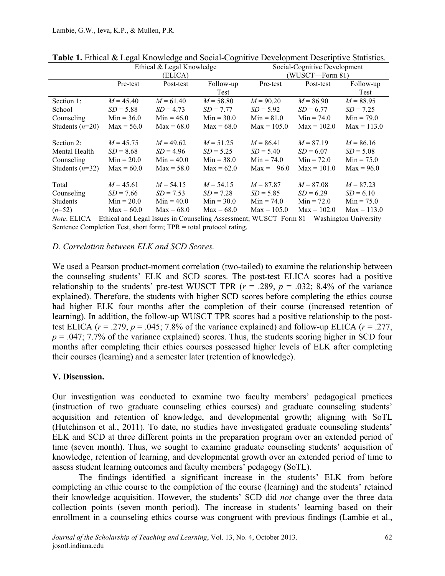|                   | Ethical & Legal Knowledge |              |              | Social-Cognitive Development |               |               |
|-------------------|---------------------------|--------------|--------------|------------------------------|---------------|---------------|
|                   | (ELICA)                   |              |              | (WUSCT—Form 81)              |               |               |
|                   | Pre-test                  | Post-test    | Follow-up    | Pre-test                     | Post-test     | Follow-up     |
|                   |                           |              | Test         |                              |               | Test          |
| Section 1:        | $M = 45.40$               | $M = 61.40$  | $M = 58.80$  | $M = 90.20$                  | $M = 86.90$   | $M = 88.95$   |
| School            | $SD = 5.88$               | $SD = 4.73$  | $SD = 7.77$  | $SD = 5.92$                  | $SD = 6.77$   | $SD = 7.25$   |
| Counseling        | $Min = 36.0$              | $Min = 46.0$ | $Min = 30.0$ | $Min = 81.0$                 | $Min = 74.0$  | $Min = 79.0$  |
| Students $(n=20)$ | $Max = 56.0$              | $Max = 68.0$ | $Max = 68.0$ | $Max = 105.0$                | $Max = 102.0$ | $Max = 113.0$ |
|                   |                           |              |              |                              |               |               |
| Section 2:        | $M = 45.75$               | $M = 49.62$  | $M = 51.25$  | $M = 86.41$                  | $M = 87.19$   | $M = 86.16$   |
| Mental Health     | $SD = 8.68$               | $SD = 4.96$  | $SD = 5.25$  | $SD = 5.40$                  | $SD = 6.07$   | $SD = 5.08$   |
| Counseling        | $Min = 20.0$              | $Min = 40.0$ | $Min = 38.0$ | $Min = 74.0$                 | $Min = 72.0$  | $Min = 75.0$  |
| Students $(n=32)$ | $Max = 60.0$              | $Max = 58.0$ | $Max = 62.0$ | $Max = 96.0$                 | $Max = 101.0$ | $Max = 96.0$  |
|                   |                           |              |              |                              |               |               |
| Total             | $M = 45.61$               | $M = 54.15$  | $M = 54.15$  | $M = 87.87$                  | $M = 87.08$   | $M = 87.23$   |
| Counseling        | $SD = 7.66$               | $SD = 7.53$  | $SD = 7.28$  | $SD = 5.85$                  | $SD = 6.29$   | $SD = 6.10$   |
| <b>Students</b>   | $Min = 20.0$              | $Min = 40.0$ | $Min = 30.0$ | $Min = 74.0$                 | $Min = 72.0$  | $Min = 75.0$  |
| $(n=52)$          | $Max = 60.0$              | $Max = 68.0$ | $Max = 68.0$ | $Max = 105.0$                | $Max = 102.0$ | $Max = 113.0$ |

**Table 1.** Ethical & Legal Knowledge and Social-Cognitive Development Descriptive Statistics.

*Note*. ELICA = Ethical and Legal Issues in Counseling Assessment; WUSCT–Form 81 = Washington University Sentence Completion Test, short form; TPR = total protocol rating.

### *D. Correlation between ELK and SCD Scores.*

We used a Pearson product-moment correlation (two-tailed) to examine the relationship between the counseling students' ELK and SCD scores. The post-test ELICA scores had a positive relationship to the students' pre-test WUSCT TPR  $(r = .289, p = .032; 8.4\%$  of the variance explained). Therefore, the students with higher SCD scores before completing the ethics course had higher ELK four months after the completion of their course (increased retention of learning). In addition, the follow-up WUSCT TPR scores had a positive relationship to the posttest ELICA  $(r = .279, p = .045; 7.8\%$  of the variance explained) and follow-up ELICA  $(r = .277,$  $p = 0.047$ ; 7.7% of the variance explained) scores. Thus, the students scoring higher in SCD four months after completing their ethics courses possessed higher levels of ELK after completing their courses (learning) and a semester later (retention of knowledge).

### **V. Discussion.**

Our investigation was conducted to examine two faculty members' pedagogical practices (instruction of two graduate counseling ethics courses) and graduate counseling students' acquisition and retention of knowledge, and developmental growth; aligning with SoTL (Hutchinson et al., 2011). To date, no studies have investigated graduate counseling students' ELK and SCD at three different points in the preparation program over an extended period of time (seven month). Thus, we sought to examine graduate counseling students' acquisition of knowledge, retention of learning, and developmental growth over an extended period of time to assess student learning outcomes and faculty members' pedagogy (SoTL).

The findings identified a significant increase in the students' ELK from before completing an ethic course to the completion of the course (learning) and the students' retained their knowledge acquisition. However, the students' SCD did *not* change over the three data collection points (seven month period). The increase in students' learning based on their enrollment in a counseling ethics course was congruent with previous findings (Lambie et al.,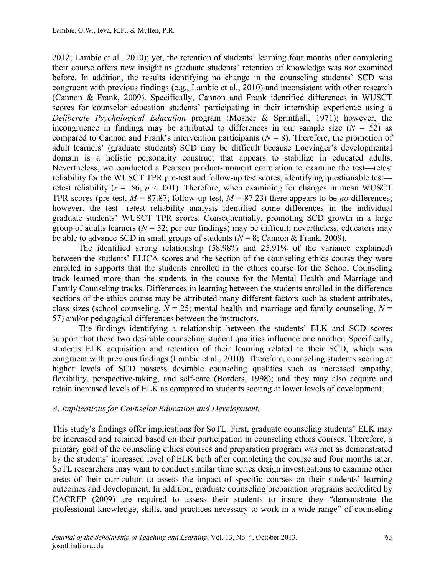2012; Lambie et al., 2010); yet, the retention of students' learning four months after completing their course offers new insight as graduate students' retention of knowledge was *not* examined before. In addition, the results identifying no change in the counseling students' SCD was congruent with previous findings (e.g., Lambie et al., 2010) and inconsistent with other research (Cannon & Frank, 2009). Specifically, Cannon and Frank identified differences in WUSCT scores for counselor education students' participating in their internship experience using a *Deliberate Psychological Education* program (Mosher & Sprinthall, 1971); however, the incongruence in findings may be attributed to differences in our sample size  $(N = 52)$  as compared to Cannon and Frank's intervention participants  $(N = 8)$ . Therefore, the promotion of adult learners' (graduate students) SCD may be difficult because Loevinger's developmental domain is a holistic personality construct that appears to stabilize in educated adults. Nevertheless, we conducted a Pearson product-moment correlation to examine the test—retest reliability for the WUSCT TPR pre-test and follow-up test scores, identifying questionable test retest reliability ( $r = .56$ ,  $p < .001$ ). Therefore, when examining for changes in mean WUSCT TPR scores (pre-test,  $M = 87.87$ ; follow-up test,  $M = 87.23$ ) there appears to be *no* differences; however, the test—retest reliability analysis identified some differences in the individual graduate students' WUSCT TPR scores. Consequentially, promoting SCD growth in a large group of adults learners ( $N = 52$ ; per our findings) may be difficult; nevertheless, educators may be able to advance SCD in small groups of students (*N* = 8; Cannon & Frank, 2009).

The identified strong relationship (58.98% and 25.91% of the variance explained) between the students' ELICA scores and the section of the counseling ethics course they were enrolled in supports that the students enrolled in the ethics course for the School Counseling track learned more than the students in the course for the Mental Health and Marriage and Family Counseling tracks. Differences in learning between the students enrolled in the difference sections of the ethics course may be attributed many different factors such as student attributes, class sizes (school counseling,  $N = 25$ ; mental health and marriage and family counseling,  $N =$ 57) and/or pedagogical differences between the instructors.

The findings identifying a relationship between the students' ELK and SCD scores support that these two desirable counseling student qualities influence one another. Specifically, students ELK acquisition and retention of their learning related to their SCD, which was congruent with previous findings (Lambie et al., 2010). Therefore, counseling students scoring at higher levels of SCD possess desirable counseling qualities such as increased empathy, flexibility, perspective-taking, and self-care (Borders, 1998); and they may also acquire and retain increased levels of ELK as compared to students scoring at lower levels of development.

### *A. Implications for Counselor Education and Development.*

This study's findings offer implications for SoTL. First, graduate counseling students' ELK may be increased and retained based on their participation in counseling ethics courses. Therefore, a primary goal of the counseling ethics courses and preparation program was met as demonstrated by the students' increased level of ELK both after completing the course and four months later. SoTL researchers may want to conduct similar time series design investigations to examine other areas of their curriculum to assess the impact of specific courses on their students' learning outcomes and development. In addition, graduate counseling preparation programs accredited by CACREP (2009) are required to assess their students to insure they "demonstrate the professional knowledge, skills, and practices necessary to work in a wide range" of counseling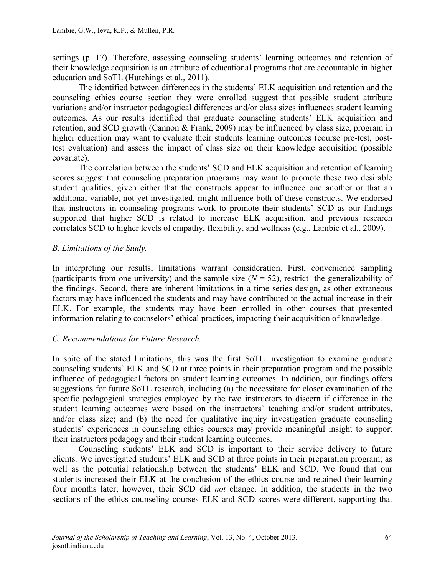settings (p. 17). Therefore, assessing counseling students' learning outcomes and retention of their knowledge acquisition is an attribute of educational programs that are accountable in higher education and SoTL (Hutchings et al., 2011).

The identified between differences in the students' ELK acquisition and retention and the counseling ethics course section they were enrolled suggest that possible student attribute variations and/or instructor pedagogical differences and/or class sizes influences student learning outcomes. As our results identified that graduate counseling students' ELK acquisition and retention, and SCD growth (Cannon & Frank, 2009) may be influenced by class size, program in higher education may want to evaluate their students learning outcomes (course pre-test, posttest evaluation) and assess the impact of class size on their knowledge acquisition (possible covariate).

The correlation between the students' SCD and ELK acquisition and retention of learning scores suggest that counseling preparation programs may want to promote these two desirable student qualities, given either that the constructs appear to influence one another or that an additional variable, not yet investigated, might influence both of these constructs. We endorsed that instructors in counseling programs work to promote their students' SCD as our findings supported that higher SCD is related to increase ELK acquisition, and previous research correlates SCD to higher levels of empathy, flexibility, and wellness (e.g., Lambie et al., 2009).

### *B. Limitations of the Study.*

In interpreting our results, limitations warrant consideration. First, convenience sampling (participants from one university) and the sample size  $(N = 52)$ , restrict the generalizability of the findings. Second, there are inherent limitations in a time series design, as other extraneous factors may have influenced the students and may have contributed to the actual increase in their ELK. For example, the students may have been enrolled in other courses that presented information relating to counselors' ethical practices, impacting their acquisition of knowledge.

### *C. Recommendations for Future Research.*

In spite of the stated limitations, this was the first SoTL investigation to examine graduate counseling students' ELK and SCD at three points in their preparation program and the possible influence of pedagogical factors on student learning outcomes. In addition, our findings offers suggestions for future SoTL research, including (a) the necessitate for closer examination of the specific pedagogical strategies employed by the two instructors to discern if difference in the student learning outcomes were based on the instructors' teaching and/or student attributes, and/or class size; and (b) the need for qualitative inquiry investigation graduate counseling students' experiences in counseling ethics courses may provide meaningful insight to support their instructors pedagogy and their student learning outcomes.

Counseling students' ELK and SCD is important to their service delivery to future clients. We investigated students' ELK and SCD at three points in their preparation program; as well as the potential relationship between the students' ELK and SCD. We found that our students increased their ELK at the conclusion of the ethics course and retained their learning four months later; however, their SCD did *not* change. In addition, the students in the two sections of the ethics counseling courses ELK and SCD scores were different, supporting that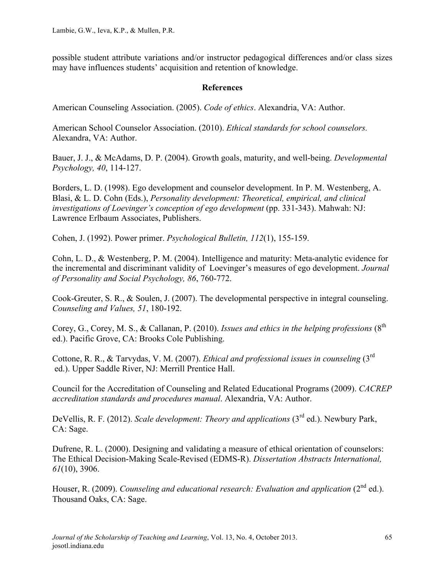possible student attribute variations and/or instructor pedagogical differences and/or class sizes may have influences students' acquisition and retention of knowledge.

### **References**

American Counseling Association. (2005). *Code of ethics*. Alexandria, VA: Author.

American School Counselor Association. (2010). *Ethical standards for school counselors.* Alexandra, VA: Author.

Bauer, J. J., & McAdams, D. P. (2004). Growth goals, maturity, and well-being. *Developmental Psychology, 40*, 114-127.

Borders, L. D. (1998). Ego development and counselor development. In P. M. Westenberg, A. Blasi, & L. D. Cohn (Eds.), *Personality development: Theoretical, empirical, and clinical investigations of Loevinger's conception of ego development* (pp. 331-343). Mahwah: NJ: Lawrence Erlbaum Associates, Publishers.

Cohen, J. (1992). Power primer. *Psychological Bulletin, 112*(1), 155-159.

Cohn, L. D., & Westenberg, P. M. (2004). Intelligence and maturity: Meta-analytic evidence for the incremental and discriminant validity of Loevinger's measures of ego development. *Journal of Personality and Social Psychology, 86*, 760-772.

Cook-Greuter, S. R., & Soulen, J. (2007). The developmental perspective in integral counseling. *Counseling and Values, 51*, 180-192.

Corey, G., Corey, M. S., & Callanan, P. (2010). *Issues and ethics in the helping professions* (8<sup>th</sup>) ed.). Pacific Grove, CA: Brooks Cole Publishing.

Cottone, R. R., & Tarvydas, V. M. (2007). *Ethical and professional issues in counseling* (3rd ed.). Upper Saddle River, NJ: Merrill Prentice Hall.

Council for the Accreditation of Counseling and Related Educational Programs (2009). *CACREP accreditation standards and procedures manual*. Alexandria, VA: Author.

DeVellis, R. F. (2012). *Scale development: Theory and applications* (3<sup>rd</sup> ed.). Newbury Park, CA: Sage.

Dufrene, R. L. (2000). Designing and validating a measure of ethical orientation of counselors: The Ethical Decision-Making Scale-Revised (EDMS-R). *Dissertation Abstracts International, 61*(10), 3906.

Houser, R. (2009). *Counseling and educational research: Evaluation and application* (2<sup>nd</sup> ed.). Thousand Oaks, CA: Sage.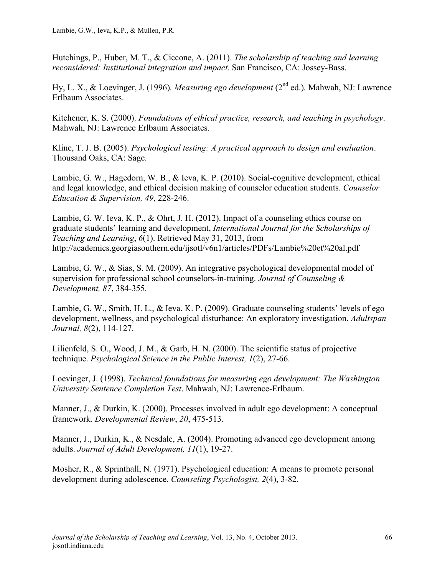Hutchings, P., Huber, M. T., & Ciccone, A. (2011). *The scholarship of teaching and learning reconsidered: Institutional integration and impact*. San Francisco, CA: Jossey-Bass.

Hy, L. X., & Loevinger, J. (1996)*. Measuring ego development* (2nd ed.)*.* Mahwah, NJ: Lawrence Erlbaum Associates.

Kitchener, K. S. (2000). *Foundations of ethical practice, research, and teaching in psychology*. Mahwah, NJ: Lawrence Erlbaum Associates.

Kline, T. J. B. (2005). *Psychological testing: A practical approach to design and evaluation*. Thousand Oaks, CA: Sage.

Lambie, G. W., Hagedorn, W. B., & Ieva, K. P. (2010). Social-cognitive development, ethical and legal knowledge, and ethical decision making of counselor education students. *Counselor Education & Supervision, 49*, 228-246.

Lambie, G. W. Ieva, K. P., & Ohrt, J. H. (2012). Impact of a counseling ethics course on graduate students' learning and development, *International Journal for the Scholarships of Teaching and Learning*, *6*(1). Retrieved May 31, 2013, from http://academics.georgiasouthern.edu/ijsotl/v6n1/articles/PDFs/Lambie%20et%20al.pdf

Lambie, G. W., & Sias, S. M. (2009). An integrative psychological developmental model of supervision for professional school counselors-in-training. *Journal of Counseling & Development, 87*, 384-355.

Lambie, G. W., Smith, H. L., & Ieva. K. P. (2009). Graduate counseling students' levels of ego development, wellness, and psychological disturbance: An exploratory investigation. *Adultspan Journal, 8*(2), 114-127.

Lilienfeld, S. O., Wood, J. M., & Garb, H. N. (2000). The scientific status of projective technique. *Psychological Science in the Public Interest, 1*(2), 27-66.

Loevinger, J. (1998). *Technical foundations for measuring ego development: The Washington University Sentence Completion Test*. Mahwah, NJ: Lawrence-Erlbaum.

Manner, J., & Durkin, K. (2000). Processes involved in adult ego development: A conceptual framework. *Developmental Review*, *20*, 475-513.

Manner, J., Durkin, K., & Nesdale, A. (2004). Promoting advanced ego development among adults. *Journal of Adult Development, 11*(1), 19-27.

Mosher, R., & Sprinthall, N. (1971). Psychological education: A means to promote personal development during adolescence. *Counseling Psychologist, 2*(4), 3-82.